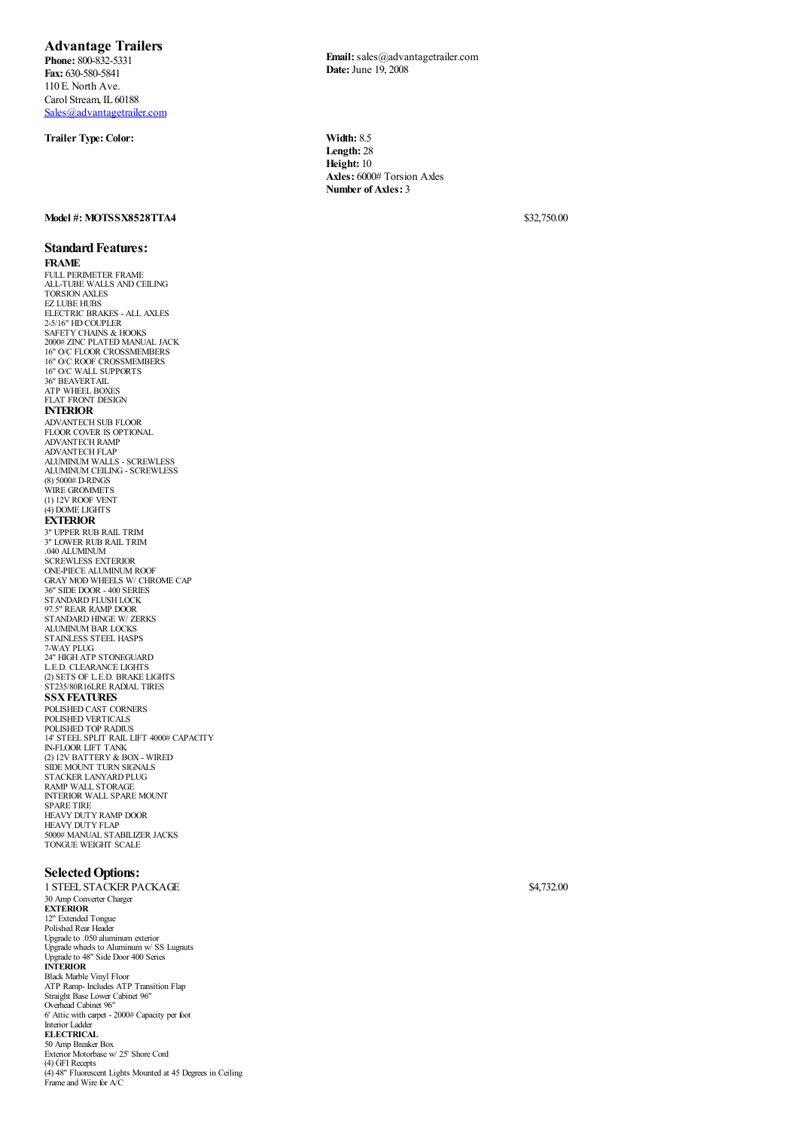## **Advantage Trailers**

**Phone:** 800-832-5331 **Fax:** 630-580-5841 110 E. North Ave. Carol Stream, IL 60188 [Sales@advantagetrailer.com](mailto:Sales@advantagetrailer.com)

## **Trailer Type: Color: Width:** 8.5

**Email:**sales@advantagetrailer.com **Date:**June 19, 2008

**Length:** 28 **Height:** 10 **Axles:** 6000# Torsion Axles **Number of Axles:** 3

**Model #: MOTSSX8528TTA4** \$32,750.00

## **Standard Features: FRAME**

FULL PERIMETER FRAME ALL-TUBE WALLS AND CEILING TORSION AXLES EZ LUBE HUBS ELECTRIC BRAKES - ALL AXLES 2-5/16" HD COUPLER SAFETY CHAINS & HOOKS 2000# ZINC PLATED MANUAL JACK 16" O/C FLOOR CROSSMEMBERS 16" O/C ROOF CROSSMEMBERS 16" O/C WALL SUPPORTS 36" BEAVERTAIL ATP WHEEL BOXES FLAT FRONT DESIGN **INTERIOR** ADVANTECH SUB FLOOR FLOOR COVER IS OPTIONAL ADVANTECH RAMP ADVANTECH FLAP ALUMINUM WALLS - SCREWLESS ALUMINUM CEILING - SCREWLESS<br>(8) 5000# D-RINGS (8) 5000# D-RINGS WIRE GROMMETS (1) 12V ROOF VENT (4) DOME LIGHTS **EXTERIOR** 3" UPPER RUB RAIL TRIM 3" LOWER RUB RAIL TRIM .040 ALUMINUM SCREWLESS EXTERIOR ONE-PIECE ALUMINUM ROOF GRAY MOD WHEELS W/ CHROME CAP 36" SIDE DOOR - 400 SERIES STANDARD FLUSH LOCK 97.5" REAR RAMP DOOR STANDARD HINGE W/ ZERKS ALUMINUM BAR LOCKS STAINLESS STEEL HASPS 7-WAY PLUG 24" HIGH ATP STONEGUARD L.E.D. CLEARANCE LIGHTS (2) SETS OF L.E.D. BRAKE LIGHTS ST235/80R16LRE RADIAL TIRES **SSX FEATURES** POLISHED CAST CORNERS POLISHED VERTICALS POLISHED TOP RADIUS 14' STEEL SPLIT RAIL LIFT 4000# CAPACITY IN-FLOOR LIFT TANK<br>(2) 12V BATTERY & BOX - WIRED<br>SIDE MOUNT TURN SIGNALS<br>STACKER LANYARD PLUG<br>RAMP WALL STORAGE INTERIOR WALL SPARE MOUNT SPARE TIRE HEAVY DUTY RAMP DOOR HEAVY DUTY FLAP 5000# MANUAL STABILIZER JACKS TONGUE WEIGHT SCALE

## **Selected Options:**

1 STEEL STACKER PACKAGE \$4,732.00 30 Amp Converter Charger **EXTERIOR** 12" Extended Tongue Polished Rear Header Upgradeto .050 aluminum exterior Upgrade wheels to Aluminum w/ SS Lugnuts Upgradeto 48" Side Door 400 Series **INTERIOR** Black Marble Vinyl Floor ATP Ramp- Includes ATP Transition Flap Straight Base Lower Cabinet 96" Overhead Cabinet 96" 6' Attic with carpet - 2000# Capacity per foot Interior Ladder **ELECTRICAL** 50 Amp Breaker Box Exterior Motorbase w/ 25' Shore Cord (4) GFI Recepts (4) 48" Fluorescent Lights Mounted at 45 Degrees in Ceiling Frame and Wire for A/C